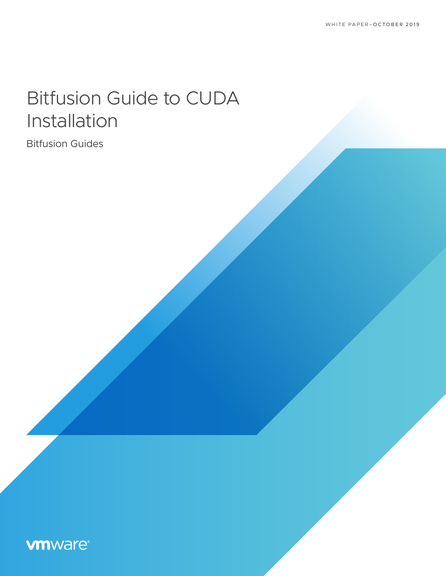# Bitfusion Guide to CUDA Installation

Bitfusion Guides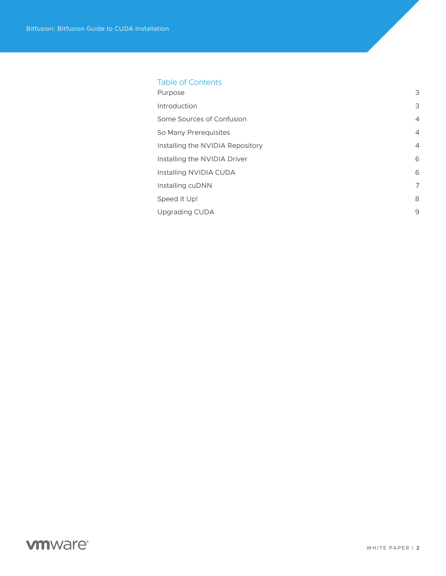### Table of Contents

| Purpose                          | 3              |
|----------------------------------|----------------|
| Introduction                     | 3              |
| Some Sources of Confusion        | $\overline{4}$ |
| So Many Prerequisites            | $\overline{4}$ |
| Installing the NVIDIA Repository | $\overline{4}$ |
| Installing the NVIDIA Driver     | 6              |
| Installing NVIDIA CUDA           | 6              |
| Installing cuDNN                 | 7              |
| Speed It Up!                     | 8              |
| Upgrading CUDA                   | 9              |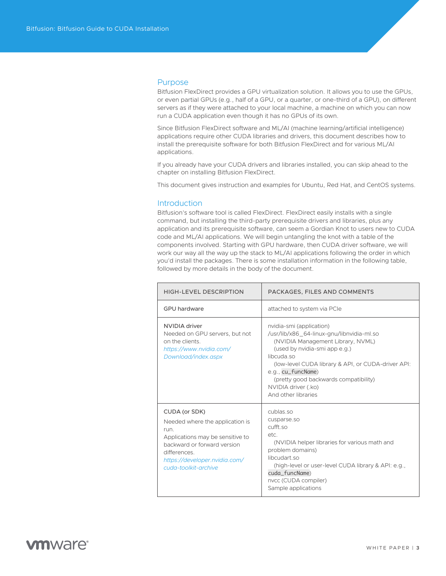#### <span id="page-2-0"></span>Purpose

Bitfusion FlexDirect provides a GPU virtualization solution. It allows you to use the GPUs, or even partial GPUs (e.g., half of a GPU, or a quarter, or one-third of a GPU), on different servers as if they were attached to your local machine, a machine on which you can now run a CUDA application even though it has no GPUs of its own.

Since Bitfusion FlexDirect software and ML/AI (machine learning/artificial intelligence) applications require other CUDA libraries and drivers, this document describes how to install the prerequisite software for both Bitfusion FlexDirect and for various ML/AI applications.

If you already have your CUDA drivers and libraries installed, you can skip ahead to the chapter on installing Bitfusion FlexDirect.

This document gives instruction and examples for Ubuntu, Red Hat, and CentOS systems.

#### **Introduction**

Bitfusion's software tool is called FlexDirect. FlexDirect easily installs with a single command, but installing the third-party prerequisite drivers and libraries, plus any application and its prerequisite software, can seem a Gordian Knot to users new to CUDA code and ML/AI applications. We will begin untangling the knot with a table of the components involved. Starting with GPU hardware, then CUDA driver software, we will work our way all the way up the stack to ML/AI applications following the order in which you'd install the packages. There is some installation information in the following table, followed by more details in the body of the document.

| <b>HIGH-LEVEL DESCRIPTION</b>                                                                                                                                                                        | PACKAGES, FILES AND COMMENTS                                                                                                                                                                                                                                                                                                 |
|------------------------------------------------------------------------------------------------------------------------------------------------------------------------------------------------------|------------------------------------------------------------------------------------------------------------------------------------------------------------------------------------------------------------------------------------------------------------------------------------------------------------------------------|
| <b>GPU</b> hardware                                                                                                                                                                                  | attached to system via PCIe                                                                                                                                                                                                                                                                                                  |
| NVIDIA driver<br>Needed on GPU servers, but not<br>on the clients.<br>https://www.nvidia.com/<br>Download/index.aspx                                                                                 | nvidia-smi (application)<br>/usr/lib/x86 64-linux-gnu/libnvidia-ml.so<br>(NVIDIA Management Library, NVML)<br>(used by nvidia-smi app e.g.)<br>libcuda.so<br>(low-level CUDA library & API, or CUDA-driver API:<br>e.g., cu_funcName)<br>(pretty good backwards compatibility)<br>NVIDIA driver (.ko)<br>And other libraries |
| CUDA (or SDK)<br>Needed where the application is<br>run.<br>Applications may be sensitive to<br>backward or forward version<br>differences.<br>https://developer.nvidia.com/<br>cuda-toolkit-archive | cublas.so<br>cusparse.so<br>cufft.so<br>etc.<br>(NVIDIA helper libraries for various math and<br>problem domains)<br>libcudart.so<br>(high-level or user-level CUDA library & API: e.g.,<br>cuda_funcName)<br>nvcc (CUDA compiler)<br>Sample applications                                                                    |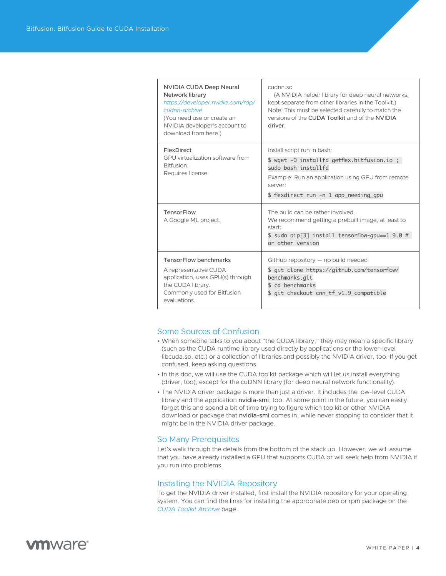<span id="page-3-0"></span>

| <b>NVIDIA CUDA Deep Neural</b><br>Network library<br>https://developer.nvidia.com/rdp/<br>cudnn-archive<br>(You need use or create an<br>NVIDIA developer's account to<br>download from here.) | cudnn so<br>(A NVIDIA helper library for deep neural networks,<br>kept separate from other libraries in the Toolkit.)<br>Note: This must be selected carefully to match the<br>versions of the CUDA Toolkit and of the NVIDIA<br>driver. |
|------------------------------------------------------------------------------------------------------------------------------------------------------------------------------------------------|------------------------------------------------------------------------------------------------------------------------------------------------------------------------------------------------------------------------------------------|
| FlexDirect<br>GPU virtualization software from<br>Bitfusion.<br>Requires license.                                                                                                              | Install script run in bash:<br>\$ wget -0 installfd getflex.bitfusion.io;<br>sudo bash installfd<br>Example: Run an application using GPU from remote<br>server:<br>\$ flexdirect run -n 1 app_needing_gpu                               |
| <b>TensorFlow</b><br>A Google ML project.                                                                                                                                                      | The build can be rather involved.<br>We recommend getting a prebuilt image, at least to<br>start <sup>.</sup><br>$$$ sudo pip[3] install tensorflow-gpu==1.9.0 #<br>or other version                                                     |
| <b>TensorFlow benchmarks</b><br>A representative CUDA<br>application, uses GPU(s) through<br>the CUDA library.<br>Commonly used for Bitfusion<br>evaluations.                                  | GitHub repository - no build needed<br>\$ git clone https://github.com/tensorflow/<br>benchmarks.git<br>\$ cd benchmarks<br>\$ git checkout cnn_tf_v1.9_compatible                                                                       |

#### Some Sources of Confusion

- When someone talks to you about "the CUDA library," they may mean a specific library (such as the CUDA runtime library used directly by applications or the lower-level libcuda.so, etc.) or a collection of libraries and possibly the NVIDIA driver, too. If you get confused, keep asking questions.
- In this doc, we will use the CUDA toolkit package which will let us install everything (driver, too), except for the cuDNN library (for deep neural network functionality).
- The NVIDIA driver package is more than just a driver. It includes the low-level CUDA library and the application nvidia-smi, too. At some point in the future, you can easily forget this and spend a bit of time trying to figure which toolkit or other NVIDIA download or package that nvidia-smi comes in, while never stopping to consider that it might be in the NVIDIA driver package.

#### So Many Prerequisites

Let's walk through the details from the bottom of the stack up. However, we will assume that you have already installed a GPU that supports CUDA or will seek help from NVIDIA if you run into problems.

#### Installing the NVIDIA Repository

To get the NVIDIA driver installed, first install the NVIDIA repository for your operating system. You can find the links for installing the appropriate deb or rpm package on the *[CUDA Toolkit Archive](https://developer.nvidia.com/cuda-toolkit-archive)* page.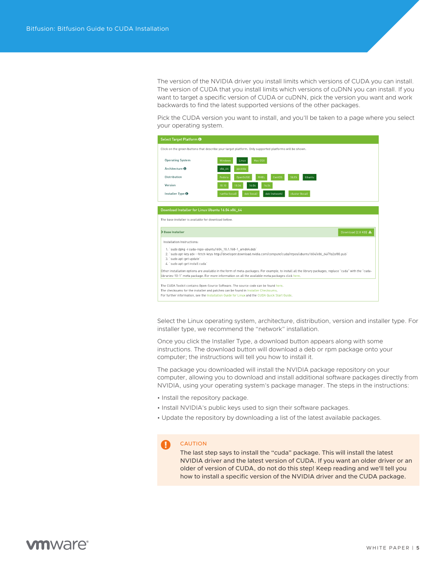The version of the NVIDIA driver you install limits which versions of CUDA you can install. The version of CUDA that you install limits which versions of cuDNN you can install. If you want to target a specific version of CUDA or cuDNN, pick the version you want and work backwards to find the latest supported versions of the other packages.

Pick the CUDA version you want to install, and you'll be taken to a page where you select your operating system.



Select the Linux operating system, architecture, distribution, version and installer type. For installer type, we recommend the "network" installation.

Once you click the Installer Type, a download button appears along with some instructions. The download button will download a deb or rpm package onto your computer; the instructions will tell you how to install it.

The package you downloaded will install the NVIDIA package repository on your computer, allowing you to download and install additional software packages directly from NVIDIA, using your operating system's package manager. The steps in the instructions:

- Install the repository package.
- Install NVIDIA's public keys used to sign their software packages.
- Update the repository by downloading a list of the latest available packages.

#### CAUTION

The last step says to install the "cuda" package. This will install the latest NVIDIA driver and the latest version of CUDA. If you want an older driver or an older of version of CUDA, do not do this step! Keep reading and we'll tell you how to install a specific version of the NVIDIA driver and the CUDA package.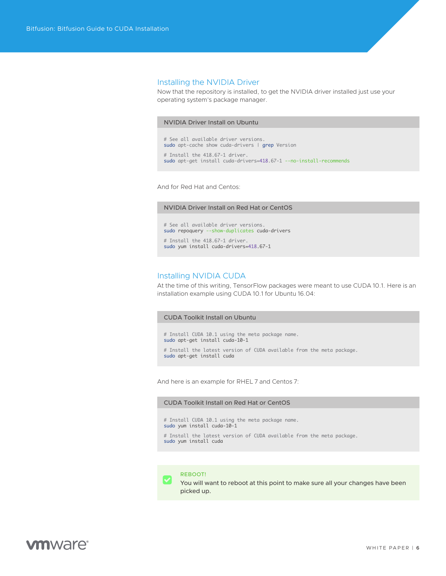#### <span id="page-5-0"></span>Installing the NVIDIA Driver

Now that the repository is installed, to get the NVIDIA driver installed just use your operating system's package manager.

#### NVIDIA Driver Install on Ubuntu

# See all available driver versions. sudo apt-cache show cuda-drivers | grep Version # Install the 418.67-1 driver.

sudo apt-get install cuda-drivers=418.67-1 --no-install-recommends

And for Red Hat and Centos:

#### NVIDIA Driver Install on Red Hat or CentOS

# See all available driver versions. sudo repoquery --show-duplicates cuda-drivers

# Install the 418.67-1 driver. sudo yum install cuda-drivers=418.67-1

#### Installing NVIDIA CUDA

At the time of this writing, TensorFlow packages were meant to use CUDA 10.1. Here is an installation example using CUDA 10.1 for Ubuntu 16.04:

#### CUDA Toolkit Install on Ubuntu

```
# Install CUDA 10.1 using the meta package name.
sudo apt-get install cuda-10-1
# Install the latest version of CUDA available from the meta package.
sudo apt-get install cuda
```
And here is an example for RHEL 7 and Centos 7:

#### CUDA Toolkit Install on Red Hat or CentOS

# Install CUDA 10.1 using the meta package name. sudo yum install cuda-10-1 # Install the latest version of CUDA available from the meta package. sudo yum install cuda



You will want to reboot at this point to make sure all your changes have been picked up.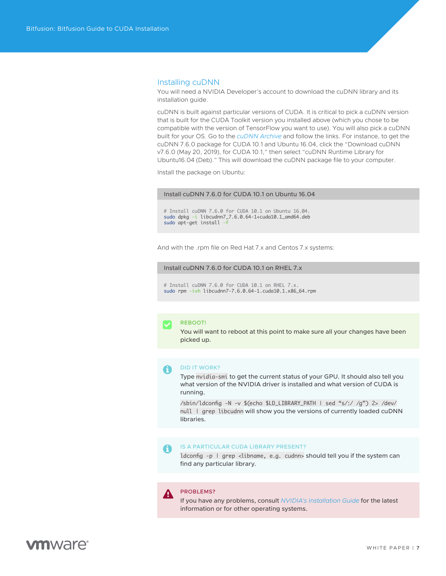#### <span id="page-6-0"></span>Installing cuDNN

You will need a NVIDIA Developer's account to download the cuDNN library and its installation guide.

cuDNN is built against particular versions of CUDA. It is critical to pick a cuDNN version that is built for the CUDA Toolkit version you installed above (which you chose to be compatible with the version of TensorFlow you want to use). You will also pick a cuDNN built for your OS. Go to the *[cuDNN Archive](https://developer.nvidia.com/rdp/cudnn-archive)* and follow the links. For instance, to get the cuDNN 7.6.0 package for CUDA 10.1 and Ubuntu 16.04, click the "Download cuDNN v7.6.0 (May 20, 2019), for CUDA 10.1," then select "cuDNN Runtime Library for Ubuntu16.04 (Deb)." This will download the cuDNN package file to your computer.

Install the package on Ubuntu:

#### Install cuDNN 7.6.0 for CUDA 10.1 on Ubuntu 16.04

# Install cuDNN 7.6.0 for CUDA 10.1 on Ubuntu 16.04. sudo dpkg -i libcudnn7\_7.6.0.64-1+cuda10.1\_amd64.deb sudo apt-get install -f

And with the .rpm file on Red Hat 7.x and Centos 7.x systems:

#### Install cuDNN 7.6.0 for CUDA 10.1 on RHEL 7.x

# Install cuDNN 7.6.0 for CUDA 10.1 on RHEL 7.x. sudo rpm -ivh libcudnn7-7.6.0.64-1.cuda10.1.x86\_64.rpm



#### REBOOT!

You will want to reboot at this point to make sure all your changes have been picked up.

#### DID IT WORK? A

Type nvidia-smi to get the current status of your GPU. It should also tell you what version of the NVIDIA driver is installed and what version of CUDA is running.

/sbin/ldconfig -N -v \$(echo \$LD\_LIBRARY\_PATH | sed "s/:/ /g") 2> /dev/ null | grep libcudnn will show you the versions of currently loaded cuDNN libraries.

#### IS A PARTICULAR CUDA LIBRARY PRESENT? A

ldconfig -p | grep <libname, e.g. cudnn> should tell you if the system can find any particular library.

#### PROBLEMS? А

If you have any problems, consult *[NVIDIA's Installation Guide](https://docs.nvidia.com/deeplearning/sdk/cudnn-install/index.html)* for the latest information or for other operating systems.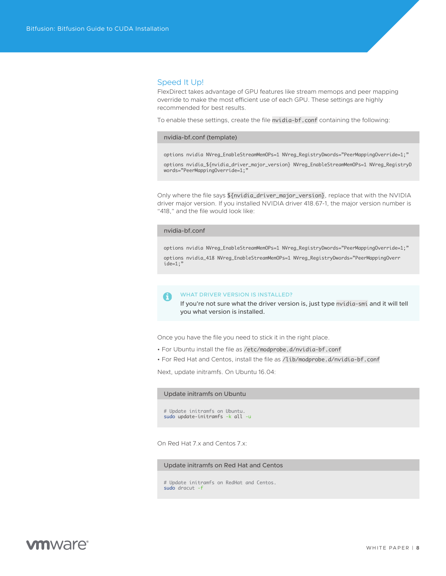#### <span id="page-7-0"></span>Speed It Up!

FlexDirect takes advantage of GPU features like stream memops and peer mapping override to make the most efficient use of each GPU. These settings are highly recommended for best results.

To enable these settings, create the file nvidia-bf.conf containing the following:

#### nvidia-bf.conf (template)

options nvidia NVreg\_EnableStreamMemOPs=1 NVreg\_RegistryDwords="PeerMappingOverride=1;" options nvidia\_\${nvidia\_driver\_major\_version} NVreg\_EnableStreamMemOPs=1 NVreg\_RegistryD words="PeerMappingOverride=1;"

Only where the file says \${nvidia\_driver\_major\_version}, replace that with the NVIDIA driver major version. If you installed NVIDIA driver 418.67-1, the major version number is "418," and the file would look like:

#### nvidia-bf.conf

options nvidia NVreg\_EnableStreamMemOPs=1 NVreg\_RegistryDwords="PeerMappingOverride=1;" options nvidia\_418 NVreg\_EnableStreamMemOPs=1 NVreg\_RegistryDwords="PeerMappingOverr ide=1;"

#### WHAT DRIVER VERSION IS INSTALLED? A

If you're not sure what the driver version is, just type nvidia-smi and it will tell you what version is installed.

Once you have the file you need to stick it in the right place.

- For Ubuntu install the file as /etc/modprobe.d/nvidia-bf.conf
- For Red Hat and Centos, install the file as /lib/modprobe.d/nvidia-bf.conf

Next, update initramfs. On Ubuntu 16.04:

#### Update initramfs on Ubuntu

# Update initramfs on Ubuntu. sudo update-initramfs -k all -u

On Red Hat 7.x and Centos 7.x:

Update initramfs on Red Hat and Centos

# Update initramfs on RedHat and Centos. sudo dracut -f

### **vm**ware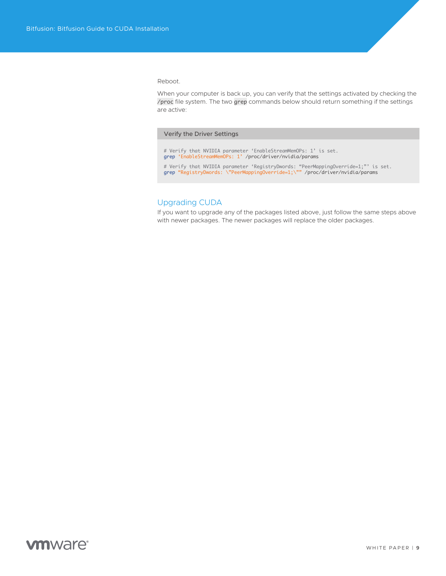<span id="page-8-0"></span>Reboot.

When your computer is back up, you can verify that the settings activated by checking the /proc file system. The two grep commands below should return something if the settings are active:

#### Verify the Driver Settings

# Verify that NVIDIA parameter 'EnableStreamMemOPs: 1' is set. grep 'EnableStreamMemOPs: 1' /proc/driver/nvidia/params # Verify that NVIDIA parameter 'RegistryDwords: "PeerMappingOverride=1;"' is set. grep "RegistryDwords: \"PeerMappingOverride=1;\"" /proc/driver/nvidia/params

#### Upgrading CUDA

If you want to upgrade any of the packages listed above, just follow the same steps above with newer packages. The newer packages will replace the older packages.